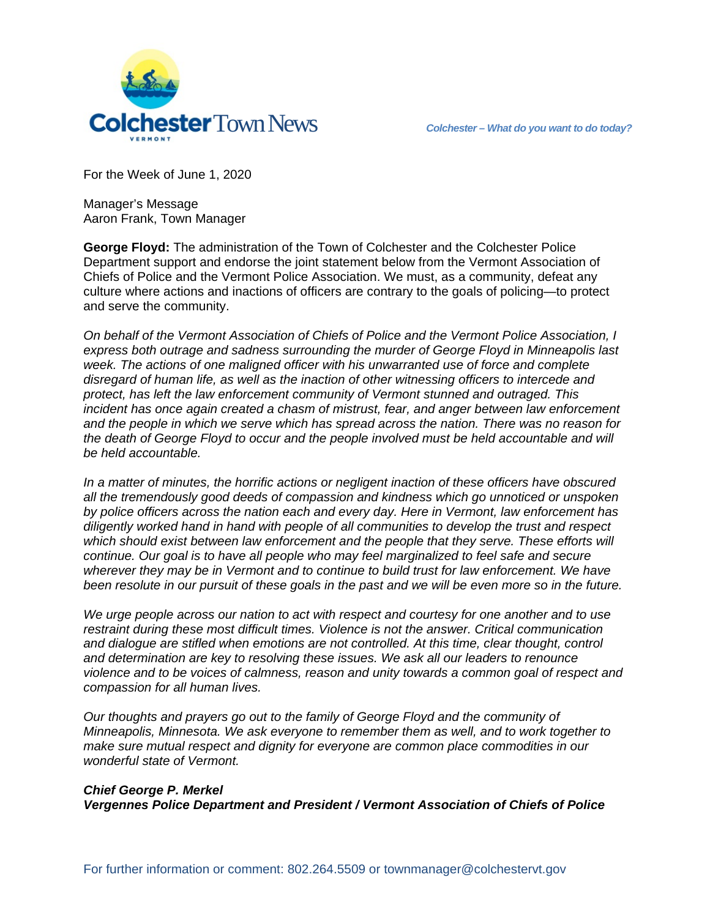

For the Week of June 1, 2020

Manager's Message Aaron Frank, Town Manager

**George Floyd:** The administration of the Town of Colchester and the Colchester Police Department support and endorse the joint statement below from the Vermont Association of Chiefs of Police and the Vermont Police Association. We must, as a community, defeat any culture where actions and inactions of officers are contrary to the goals of policing—to protect and serve the community.

*On behalf of the Vermont Association of Chiefs of Police and the Vermont Police Association, I express both outrage and sadness surrounding the murder of George Floyd in Minneapolis last week. The actions of one maligned officer with his unwarranted use of force and complete disregard of human life, as well as the inaction of other witnessing officers to intercede and protect, has left the law enforcement community of Vermont stunned and outraged. This incident has once again created a chasm of mistrust, fear, and anger between law enforcement and the people in which we serve which has spread across the nation. There was no reason for the death of George Floyd to occur and the people involved must be held accountable and will be held accountable.* 

*In a matter of minutes, the horrific actions or negligent inaction of these officers have obscured all the tremendously good deeds of compassion and kindness which go unnoticed or unspoken by police officers across the nation each and every day. Here in Vermont, law enforcement has diligently worked hand in hand with people of all communities to develop the trust and respect which should exist between law enforcement and the people that they serve. These efforts will continue. Our goal is to have all people who may feel marginalized to feel safe and secure wherever they may be in Vermont and to continue to build trust for law enforcement. We have been resolute in our pursuit of these goals in the past and we will be even more so in the future.*

*We urge people across our nation to act with respect and courtesy for one another and to use restraint during these most difficult times. Violence is not the answer. Critical communication and dialogue are stifled when emotions are not controlled. At this time, clear thought, control and determination are key to resolving these issues. We ask all our leaders to renounce violence and to be voices of calmness, reason and unity towards a common goal of respect and compassion for all human lives.*

*Our thoughts and prayers go out to the family of George Floyd and the community of Minneapolis, Minnesota. We ask everyone to remember them as well, and to work together to make sure mutual respect and dignity for everyone are common place commodities in our wonderful state of Vermont.*

### *Chief George P. Merkel*

*Vergennes Police Department and President / Vermont Association of Chiefs of Police*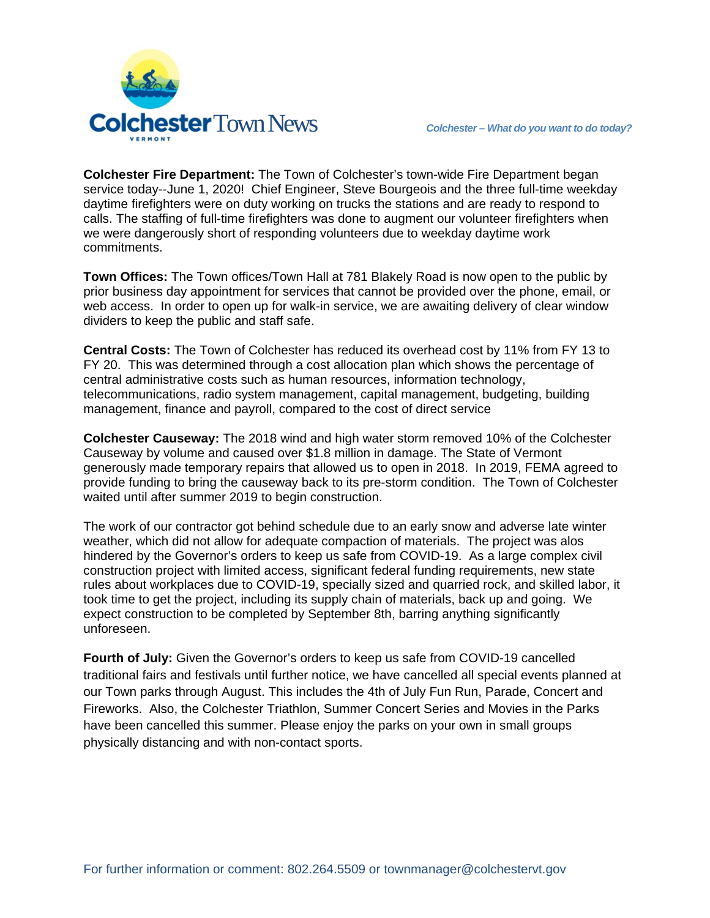

**Colchester Fire Department:** The Town of Colchester's town-wide Fire Department began service today--June 1, 2020! Chief Engineer, Steve Bourgeois and the three full-time weekday daytime firefighters were on duty working on trucks the stations and are ready to respond to calls. The staffing of full-time firefighters was done to augment our volunteer firefighters when we were dangerously short of responding volunteers due to weekday daytime work commitments.

**Town Offices:** The Town offices/Town Hall at 781 Blakely Road is now open to the public by prior business day appointment for services that cannot be provided over the phone, email, or web access. In order to open up for walk-in service, we are awaiting delivery of clear window dividers to keep the public and staff safe.

**Central Costs:** The Town of Colchester has reduced its overhead cost by 11% from FY 13 to FY 20. This was determined through a cost allocation plan which shows the percentage of central administrative costs such as human resources, information technology, telecommunications, radio system management, capital management, budgeting, building management, finance and payroll, compared to the cost of direct service

**Colchester Causeway:** The 2018 wind and high water storm removed 10% of the Colchester Causeway by volume and caused over \$1.8 million in damage. The State of Vermont generously made temporary repairs that allowed us to open in 2018. In 2019, FEMA agreed to provide funding to bring the causeway back to its pre-storm condition. The Town of Colchester waited until after summer 2019 to begin construction.

The work of our contractor got behind schedule due to an early snow and adverse late winter weather, which did not allow for adequate compaction of materials. The project was alos hindered by the Governor's orders to keep us safe from COVID-19. As a large complex civil construction project with limited access, significant federal funding requirements, new state rules about workplaces due to COVID-19, specially sized and quarried rock, and skilled labor, it took time to get the project, including its supply chain of materials, back up and going. We expect construction to be completed by September 8th, barring anything significantly unforeseen.

**Fourth of July:** Given the Governor's orders to keep us safe from COVID-19 cancelled traditional fairs and festivals until further notice, we have cancelled all special events planned at our Town parks through August. This includes the 4th of July Fun Run, Parade, Concert and Fireworks. Also, the Colchester Triathlon, Summer Concert Series and Movies in the Parks have been cancelled this summer. Please enjoy the parks on your own in small groups physically distancing and with non-contact sports.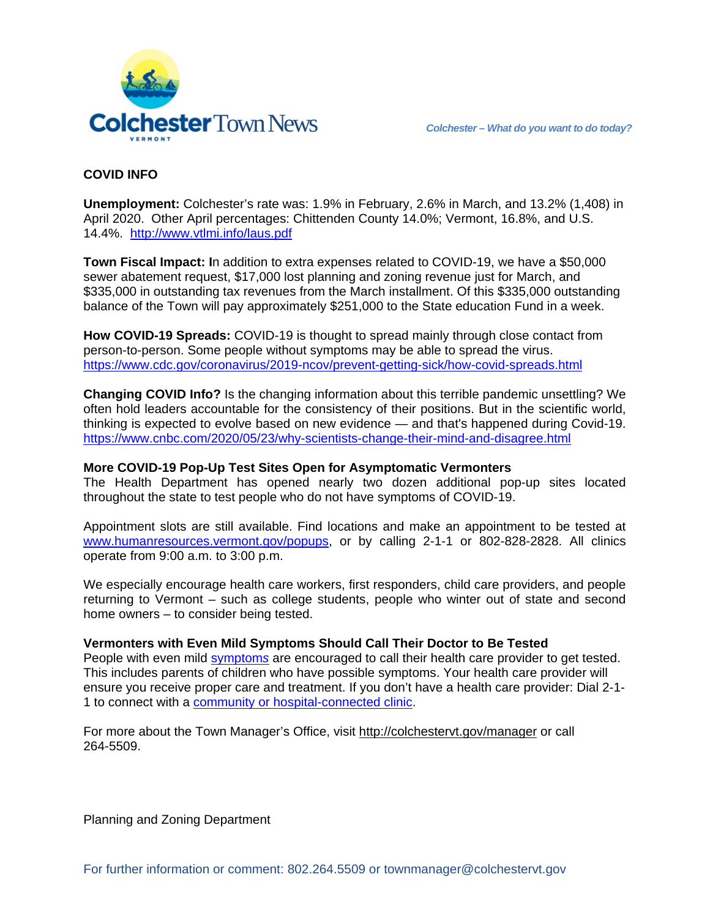

# **COVID INFO**

**Unemployment:** Colchester's rate was: 1.9% in February, 2.6% in March, and 13.2% (1,408) in April 2020. Other April percentages: Chittenden County 14.0%; Vermont, 16.8%, and U.S. 14.4%. <http://www.vtlmi.info/laus.pdf>

**Town Fiscal Impact: I**n addition to extra expenses related to COVID-19, we have a \$50,000 sewer abatement request, \$17,000 lost planning and zoning revenue just for March, and \$335,000 in outstanding tax revenues from the March installment. Of this \$335,000 outstanding balance of the Town will pay approximately \$251,000 to the State education Fund in a week.

**How COVID-19 Spreads:** COVID-19 is thought to spread mainly through close contact from person-to-person. Some people without symptoms may be able to spread the virus. <https://www.cdc.gov/coronavirus/2019-ncov/prevent-getting-sick/how-covid-spreads.html>

**Changing COVID Info?** Is the changing information about this terrible pandemic unsettling? We often hold leaders accountable for the consistency of their positions. But in the scientific world, thinking is expected to evolve based on new evidence — and that's happened during Covid-19. <https://www.cnbc.com/2020/05/23/why-scientists-change-their-mind-and-disagree.html>

#### **More COVID-19 Pop-Up Test Sites Open for Asymptomatic Vermonters**

The Health Department has opened nearly two dozen additional pop-up sites located throughout the state to test people who do not have symptoms of COVID-19.

Appointment slots are still available. Find locations and make an appointment to be tested at [www.humanresources.vermont.gov/popups,](http://www.humanresources.vermont.gov/popups) or by calling 2-1-1 or 802-828-2828. All clinics operate from 9:00 a.m. to 3:00 p.m.

We especially encourage health care workers, first responders, child care providers, and people returning to Vermont – such as college students, people who winter out of state and second home owners – to consider being tested.

#### **Vermonters with Even Mild Symptoms Should Call Their Doctor to Be Tested**

People with even mild [symptom](https://www.cdc.gov/coronavirus/2019-ncov/symptoms-testing/symptoms.html)*s* are encouraged to call their health care provider to get tested. This includes parents of children who have possible symptoms. Your health care provider will ensure you receive proper care and treatment. If you don't have a health care provider: Dial 2-1- 1 to connect with a [community or hospital-connected clinic.](https://www.navigateresources.net/211vermont/Subcategory.aspx?;;0;;N;0;276976;Health%20Care,%20Dental%20Care)

For more about the Town Manager's Office, visit<http://colchestervt.gov/manager> or call 264-5509.

Planning and Zoning Department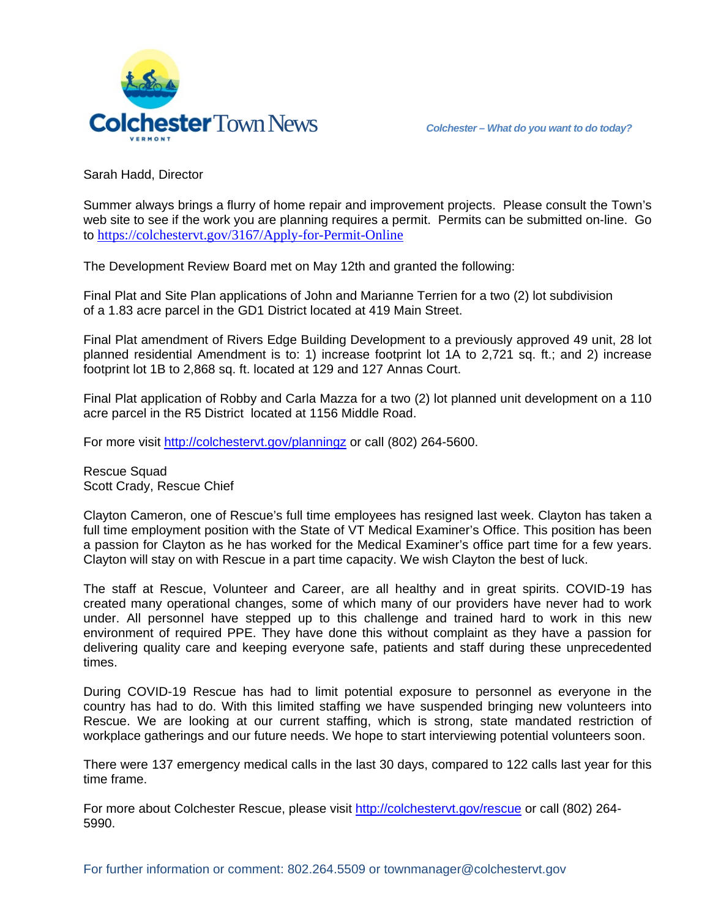

Sarah Hadd, Director

Summer always brings a flurry of home repair and improvement projects. Please consult the Town's web site to see if the work you are planning requires a permit. Permits can be submitted on-line. Go to <https://colchestervt.gov/3167/Apply-for-Permit-Online>

The Development Review Board met on May 12th and granted the following:

Final Plat and Site Plan applications of John and Marianne Terrien for a two (2) lot subdivision of a 1.83 acre parcel in the GD1 District located at 419 Main Street.

Final Plat amendment of Rivers Edge Building Development to a previously approved 49 unit, 28 lot planned residential Amendment is to: 1) increase footprint lot 1A to 2,721 sq. ft.; and 2) increase footprint lot 1B to 2,868 sq. ft. located at 129 and 127 Annas Court.

Final Plat application of Robby and Carla Mazza for a two (2) lot planned unit development on a 110 acre parcel in the R5 District located at 1156 Middle Road.

For more visit<http://colchestervt.gov/planningz> or call (802) 264-5600.

Rescue Squad Scott Crady, Rescue Chief

Clayton Cameron, one of Rescue's full time employees has resigned last week. Clayton has taken a full time employment position with the State of VT Medical Examiner's Office. This position has been a passion for Clayton as he has worked for the Medical Examiner's office part time for a few years. Clayton will stay on with Rescue in a part time capacity. We wish Clayton the best of luck.

The staff at Rescue, Volunteer and Career, are all healthy and in great spirits. COVID-19 has created many operational changes, some of which many of our providers have never had to work under. All personnel have stepped up to this challenge and trained hard to work in this new environment of required PPE. They have done this without complaint as they have a passion for delivering quality care and keeping everyone safe, patients and staff during these unprecedented times.

During COVID-19 Rescue has had to limit potential exposure to personnel as everyone in the country has had to do. With this limited staffing we have suspended bringing new volunteers into Rescue. We are looking at our current staffing, which is strong, state mandated restriction of workplace gatherings and our future needs. We hope to start interviewing potential volunteers soon.

There were 137 emergency medical calls in the last 30 days, compared to 122 calls last year for this time frame.

For more about Colchester Rescue, please visit [http://colchestervt.gov/rescue](http://colchestervt.gov/rescue/index.shtml) or call (802) 264-5990.